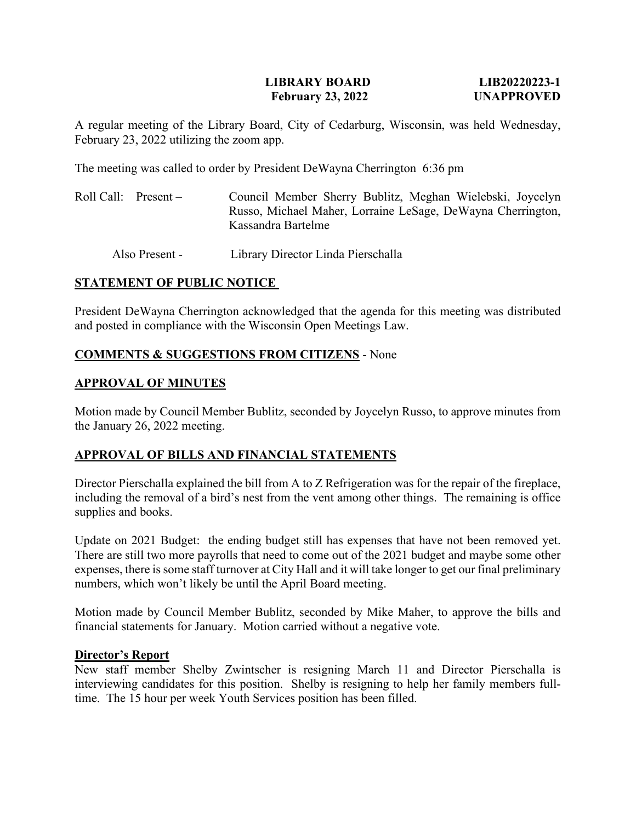## **LIBRARY BOARD LIB20220223-1 February 23, 2022 UNAPPROVED**

A regular meeting of the Library Board, City of Cedarburg, Wisconsin, was held Wednesday, February 23, 2022 utilizing the zoom app.

The meeting was called to order by President DeWayna Cherrington 6:36 pm

Roll Call: Present – Council Member Sherry Bublitz, Meghan Wielebski, Joycelyn Russo, Michael Maher, Lorraine LeSage, DeWayna Cherrington, Kassandra Bartelme

Also Present - Library Director Linda Pierschalla

# **STATEMENT OF PUBLIC NOTICE**

President DeWayna Cherrington acknowledged that the agenda for this meeting was distributed and posted in compliance with the Wisconsin Open Meetings Law.

# **COMMENTS & SUGGESTIONS FROM CITIZENS** - None

## **APPROVAL OF MINUTES**

Motion made by Council Member Bublitz, seconded by Joycelyn Russo, to approve minutes from the January 26, 2022 meeting.

# **APPROVAL OF BILLS AND FINANCIAL STATEMENTS**

Director Pierschalla explained the bill from A to Z Refrigeration was for the repair of the fireplace, including the removal of a bird's nest from the vent among other things. The remaining is office supplies and books.

Update on 2021 Budget: the ending budget still has expenses that have not been removed yet. There are still two more payrolls that need to come out of the 2021 budget and maybe some other expenses, there is some staff turnover at City Hall and it will take longer to get our final preliminary numbers, which won't likely be until the April Board meeting.

Motion made by Council Member Bublitz, seconded by Mike Maher, to approve the bills and financial statements for January. Motion carried without a negative vote.

#### **Director's Report**

New staff member Shelby Zwintscher is resigning March 11 and Director Pierschalla is interviewing candidates for this position. Shelby is resigning to help her family members fulltime. The 15 hour per week Youth Services position has been filled.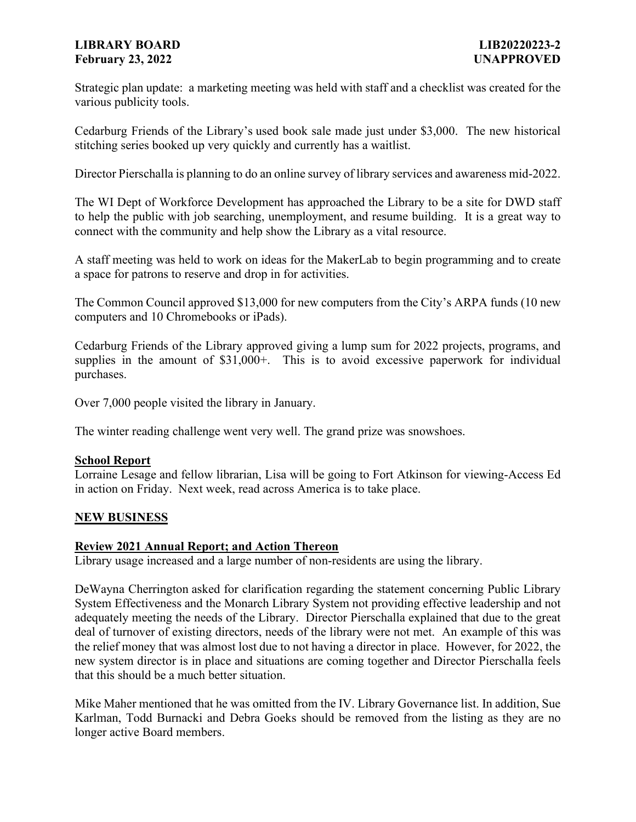# **LIBRARY BOARD LIB20220223-2 February 23, 2022 UNAPPROVED**

Strategic plan update: a marketing meeting was held with staff and a checklist was created for the various publicity tools.

Cedarburg Friends of the Library's used book sale made just under \$3,000. The new historical stitching series booked up very quickly and currently has a waitlist.

Director Pierschalla is planning to do an online survey of library services and awareness mid-2022.

The WI Dept of Workforce Development has approached the Library to be a site for DWD staff to help the public with job searching, unemployment, and resume building. It is a great way to connect with the community and help show the Library as a vital resource.

A staff meeting was held to work on ideas for the MakerLab to begin programming and to create a space for patrons to reserve and drop in for activities.

The Common Council approved \$13,000 for new computers from the City's ARPA funds (10 new computers and 10 Chromebooks or iPads).

Cedarburg Friends of the Library approved giving a lump sum for 2022 projects, programs, and supplies in the amount of \$31,000+. This is to avoid excessive paperwork for individual purchases.

Over 7,000 people visited the library in January.

The winter reading challenge went very well. The grand prize was snowshoes.

#### **School Report**

Lorraine Lesage and fellow librarian, Lisa will be going to Fort Atkinson for viewing-Access Ed in action on Friday. Next week, read across America is to take place.

#### **NEW BUSINESS**

#### **Review 2021 Annual Report; and Action Thereon**

Library usage increased and a large number of non-residents are using the library.

[DeWayna Cherrington](mailto:dcherrington@yahoo.com) asked for clarification regarding the statement concerning Public Library System Effectiveness and the Monarch Library System not providing effective leadership and not adequately meeting the needs of the Library. Director Pierschalla explained that due to the great deal of turnover of existing directors, needs of the library were not met. An example of this was the relief money that was almost lost due to not having a director in place. However, for 2022, the new system director is in place and situations are coming together and Director Pierschalla feels that this should be a much better situation.

Mike Maher mentioned that he was omitted from the IV. Library Governance list. In addition, Sue Karlman, Todd Burnacki and Debra Goeks should be removed from the listing as they are no longer active Board members.